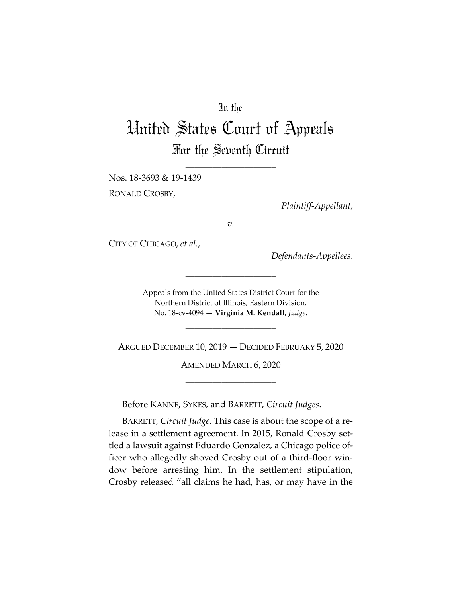## In the

## United States Court of Appeals For the Seventh Circuit

\_\_\_\_\_\_\_\_\_\_\_\_\_\_\_\_\_\_\_\_

Nos. 18-3693 & 19-1439

RONALD CROSBY,

*Plaintiff-Appellant*,

*v.*

CITY OF CHICAGO, *et al.*,

*Defendants-Appellees*.

Appeals from the United States District Court for the Northern District of Illinois, Eastern Division. No. 18-cv-4094 — **Virginia M. Kendall**, *Judge*.

\_\_\_\_\_\_\_\_\_\_\_\_\_\_\_\_\_\_\_\_

\_\_\_\_\_\_\_\_\_\_\_\_\_\_\_\_\_\_\_\_

ARGUED DECEMBER 10, 2019 — DECIDED FEBRUARY 5, 2020

AMENDED MARCH 6, 2020 \_\_\_\_\_\_\_\_\_\_\_\_\_\_\_\_\_\_\_\_

Before KANNE, SYKES, and BARRETT, *Circuit Judges*.

BARRETT, *Circuit Judge*. This case is about the scope of a release in a settlement agreement. In 2015, Ronald Crosby settled a lawsuit against Eduardo Gonzalez, a Chicago police officer who allegedly shoved Crosby out of a third-floor window before arresting him. In the settlement stipulation, Crosby released "all claims he had, has, or may have in the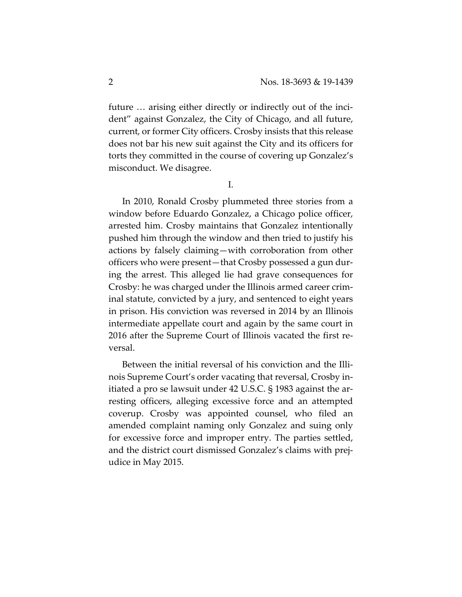future … arising either directly or indirectly out of the incident" against Gonzalez, the City of Chicago, and all future, current, or former City officers. Crosby insists that this release does not bar his new suit against the City and its officers for torts they committed in the course of covering up Gonzalez's misconduct. We disagree.

I.

In 2010, Ronald Crosby plummeted three stories from a window before Eduardo Gonzalez, a Chicago police officer, arrested him. Crosby maintains that Gonzalez intentionally pushed him through the window and then tried to justify his actions by falsely claiming—with corroboration from other officers who were present—that Crosby possessed a gun during the arrest. This alleged lie had grave consequences for Crosby: he was charged under the Illinois armed career criminal statute, convicted by a jury, and sentenced to eight years in prison. His conviction was reversed in 2014 by an Illinois intermediate appellate court and again by the same court in 2016 after the Supreme Court of Illinois vacated the first reversal.

Between the initial reversal of his conviction and the Illinois Supreme Court's order vacating that reversal, Crosby initiated a pro se lawsuit under 42 U.S.C. § 1983 against the arresting officers, alleging excessive force and an attempted coverup. Crosby was appointed counsel, who filed an amended complaint naming only Gonzalez and suing only for excessive force and improper entry. The parties settled, and the district court dismissed Gonzalez's claims with prejudice in May 2015.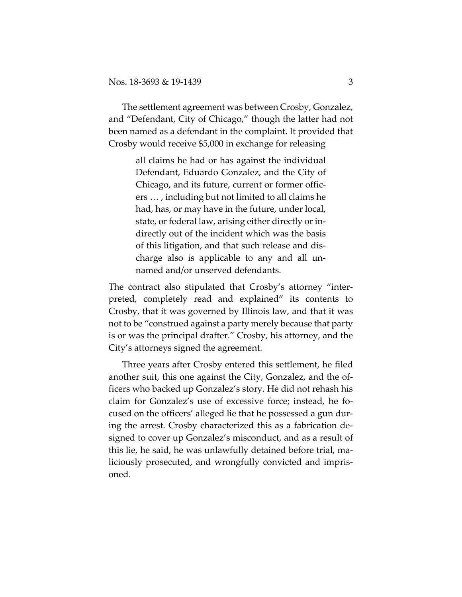The settlement agreement was between Crosby, Gonzalez, and "Defendant, City of Chicago," though the latter had not been named as a defendant in the complaint. It provided that Crosby would receive \$5,000 in exchange for releasing

> all claims he had or has against the individual Defendant, Eduardo Gonzalez, and the City of Chicago, and its future, current or former officers … , including but not limited to all claims he had, has, or may have in the future, under local, state, or federal law, arising either directly or indirectly out of the incident which was the basis of this litigation, and that such release and discharge also is applicable to any and all unnamed and/or unserved defendants.

The contract also stipulated that Crosby's attorney "interpreted, completely read and explained" its contents to Crosby, that it was governed by Illinois law, and that it was not to be "construed against a party merely because that party is or was the principal drafter." Crosby, his attorney, and the City's attorneys signed the agreement.

Three years after Crosby entered this settlement, he filed another suit, this one against the City, Gonzalez, and the officers who backed up Gonzalez's story. He did not rehash his claim for Gonzalez's use of excessive force; instead, he focused on the officers' alleged lie that he possessed a gun during the arrest. Crosby characterized this as a fabrication designed to cover up Gonzalez's misconduct, and as a result of this lie, he said, he was unlawfully detained before trial, maliciously prosecuted, and wrongfully convicted and imprisoned.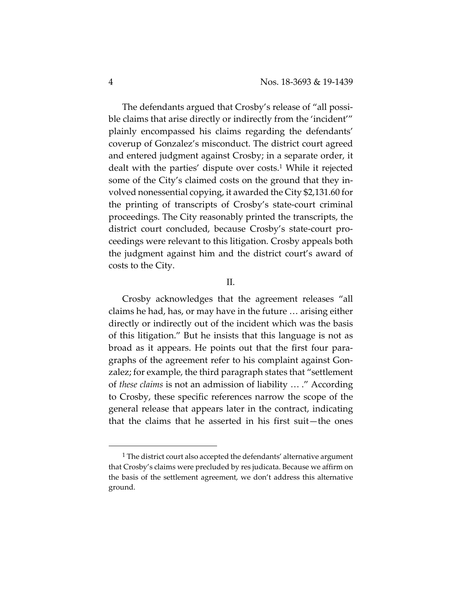The defendants argued that Crosby's release of "all possible claims that arise directly or indirectly from the 'incident'" plainly encompassed his claims regarding the defendants' coverup of Gonzalez's misconduct. The district court agreed and entered judgment against Crosby; in a separate order, it dealt with the parties' dispute over costs.1 While it rejected some of the City's claimed costs on the ground that they involved nonessential copying, it awarded the City \$2,131.60 for the printing of transcripts of Crosby's state-court criminal proceedings. The City reasonably printed the transcripts, the district court concluded, because Crosby's state-court proceedings were relevant to this litigation. Crosby appeals both the judgment against him and the district court's award of costs to the City.

## II.

Crosby acknowledges that the agreement releases "all claims he had, has, or may have in the future … arising either directly or indirectly out of the incident which was the basis of this litigation." But he insists that this language is not as broad as it appears. He points out that the first four paragraphs of the agreement refer to his complaint against Gonzalez; for example, the third paragraph states that "settlement of *these claims* is not an admission of liability … ." According to Crosby, these specific references narrow the scope of the general release that appears later in the contract, indicating that the claims that he asserted in his first suit—the ones

<sup>&</sup>lt;sup>1</sup> The district court also accepted the defendants' alternative argument that Crosby's claims were precluded by res judicata. Because we affirm on the basis of the settlement agreement, we don't address this alternative ground.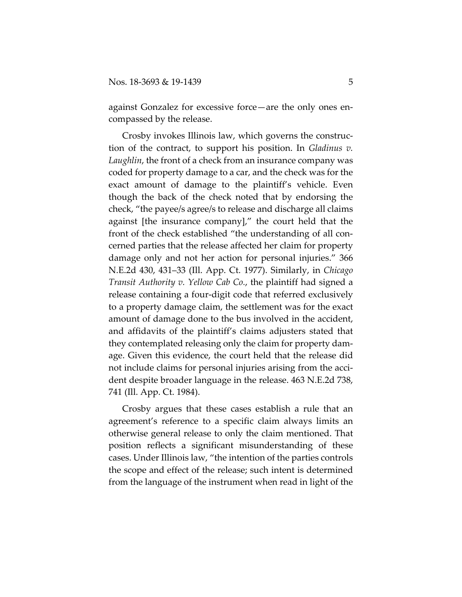against Gonzalez for excessive force—are the only ones encompassed by the release.

Crosby invokes Illinois law, which governs the construction of the contract, to support his position. In *Gladinus v. Laughlin*, the front of a check from an insurance company was coded for property damage to a car, and the check was for the exact amount of damage to the plaintiff's vehicle. Even though the back of the check noted that by endorsing the check, "the payee/s agree/s to release and discharge all claims against [the insurance company]," the court held that the front of the check established "the understanding of all concerned parties that the release affected her claim for property damage only and not her action for personal injuries." 366 N.E.2d 430, 431–33 (Ill. App. Ct. 1977). Similarly, in *Chicago Transit Authority v. Yellow Cab Co.*, the plaintiff had signed a release containing a four-digit code that referred exclusively to a property damage claim, the settlement was for the exact amount of damage done to the bus involved in the accident, and affidavits of the plaintiff's claims adjusters stated that they contemplated releasing only the claim for property damage. Given this evidence, the court held that the release did not include claims for personal injuries arising from the accident despite broader language in the release. 463 N.E.2d 738, 741 (Ill. App. Ct. 1984).

Crosby argues that these cases establish a rule that an agreement's reference to a specific claim always limits an otherwise general release to only the claim mentioned. That position reflects a significant misunderstanding of these cases. Under Illinois law, "the intention of the parties controls the scope and effect of the release; such intent is determined from the language of the instrument when read in light of the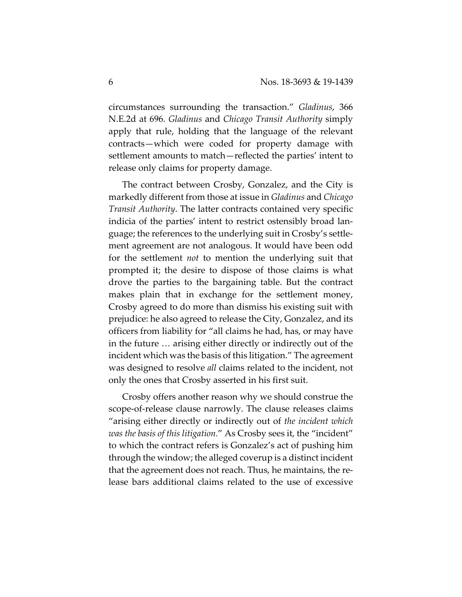circumstances surrounding the transaction." *Gladinus*, 366 N.E.2d at 696. *Gladinus* and *Chicago Transit Authority* simply apply that rule, holding that the language of the relevant contracts—which were coded for property damage with settlement amounts to match—reflected the parties' intent to release only claims for property damage.

The contract between Crosby, Gonzalez, and the City is markedly different from those at issue in *Gladinus* and *Chicago Transit Authority*. The latter contracts contained very specific indicia of the parties' intent to restrict ostensibly broad language; the references to the underlying suit in Crosby's settlement agreement are not analogous. It would have been odd for the settlement *not* to mention the underlying suit that prompted it; the desire to dispose of those claims is what drove the parties to the bargaining table. But the contract makes plain that in exchange for the settlement money, Crosby agreed to do more than dismiss his existing suit with prejudice: he also agreed to release the City, Gonzalez, and its officers from liability for "all claims he had, has, or may have in the future … arising either directly or indirectly out of the incident which was the basis of this litigation." The agreement was designed to resolve *all* claims related to the incident, not only the ones that Crosby asserted in his first suit.

Crosby offers another reason why we should construe the scope-of-release clause narrowly. The clause releases claims "arising either directly or indirectly out of *the incident which was the basis of this litigation.*" As Crosby sees it, the "incident" to which the contract refers is Gonzalez's act of pushing him through the window; the alleged coverup is a distinct incident that the agreement does not reach. Thus, he maintains, the release bars additional claims related to the use of excessive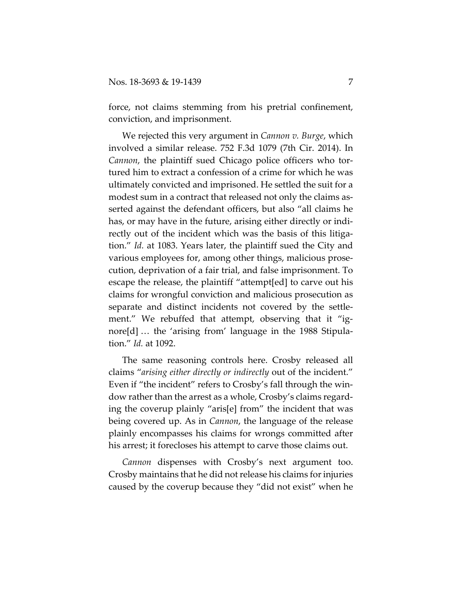force, not claims stemming from his pretrial confinement, conviction, and imprisonment.

We rejected this very argument in *Cannon v. Burge*, which involved a similar release. 752 F.3d 1079 (7th Cir. 2014). In *Cannon*, the plaintiff sued Chicago police officers who tortured him to extract a confession of a crime for which he was ultimately convicted and imprisoned. He settled the suit for a modest sum in a contract that released not only the claims asserted against the defendant officers, but also "all claims he has, or may have in the future, arising either directly or indirectly out of the incident which was the basis of this litigation." *Id.* at 1083. Years later, the plaintiff sued the City and various employees for, among other things, malicious prosecution, deprivation of a fair trial, and false imprisonment. To escape the release, the plaintiff "attempt[ed] to carve out his claims for wrongful conviction and malicious prosecution as separate and distinct incidents not covered by the settlement." We rebuffed that attempt, observing that it "ignore[d] … the 'arising from' language in the 1988 Stipulation." *Id.* at 1092.

The same reasoning controls here. Crosby released all claims "*arising either directly or indirectly* out of the incident." Even if "the incident" refers to Crosby's fall through the window rather than the arrest as a whole, Crosby's claims regarding the coverup plainly "aris[e] from" the incident that was being covered up. As in *Cannon*, the language of the release plainly encompasses his claims for wrongs committed after his arrest; it forecloses his attempt to carve those claims out.

*Cannon* dispenses with Crosby's next argument too. Crosby maintains that he did not release his claims for injuries caused by the coverup because they "did not exist" when he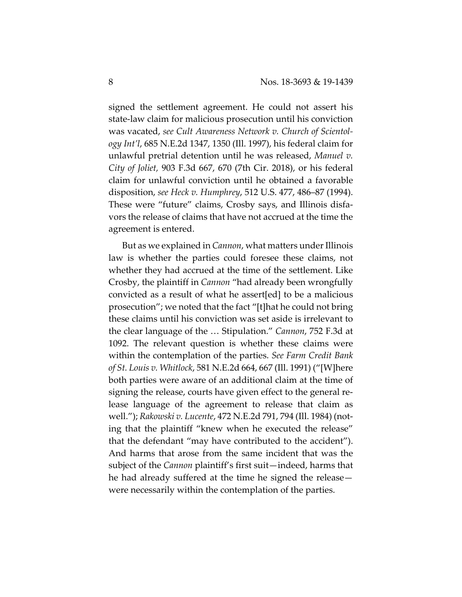signed the settlement agreement. He could not assert his state-law claim for malicious prosecution until his conviction was vacated, *see Cult Awareness Network v. Church of Scientology Int'l*, 685 N.E.2d 1347, 1350 (Ill. 1997), his federal claim for unlawful pretrial detention until he was released, *Manuel v. City of Joliet,* 903 F.3d 667, 670 (7th Cir. 2018), or his federal claim for unlawful conviction until he obtained a favorable disposition, *see Heck v. Humphrey*, 512 U.S. 477, 486–87 (1994). These were "future" claims, Crosby says, and Illinois disfavors the release of claims that have not accrued at the time the agreement is entered.

But as we explained in *Cannon*, what matters under Illinois law is whether the parties could foresee these claims, not whether they had accrued at the time of the settlement. Like Crosby, the plaintiff in *Cannon* "had already been wrongfully convicted as a result of what he assert[ed] to be a malicious prosecution"; we noted that the fact "[t]hat he could not bring these claims until his conviction was set aside is irrelevant to the clear language of the … Stipulation." *Cannon*, 752 F.3d at 1092. The relevant question is whether these claims were within the contemplation of the parties. *See Farm Credit Bank of St. Louis v. Whitlock*, 581 N.E.2d 664, 667 (Ill. 1991) ("[W]here both parties were aware of an additional claim at the time of signing the release, courts have given effect to the general release language of the agreement to release that claim as well."); *Rakowski v. Lucente*, 472 N.E.2d 791, 794 (Ill. 1984) (noting that the plaintiff "knew when he executed the release" that the defendant "may have contributed to the accident"). And harms that arose from the same incident that was the subject of the *Cannon* plaintiff's first suit—indeed, harms that he had already suffered at the time he signed the release were necessarily within the contemplation of the parties.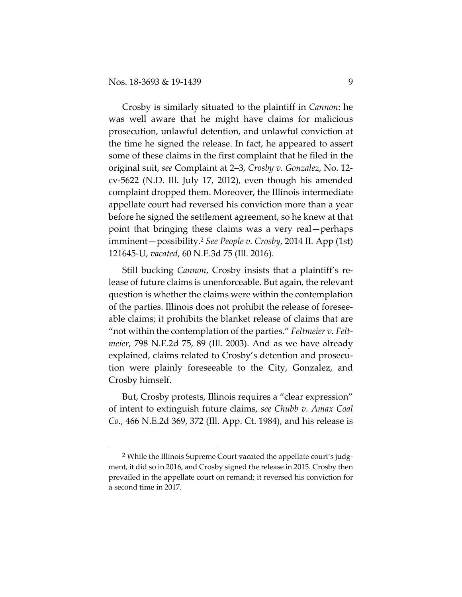Crosby is similarly situated to the plaintiff in *Cannon*: he was well aware that he might have claims for malicious prosecution, unlawful detention, and unlawful conviction at the time he signed the release. In fact, he appeared to assert some of these claims in the first complaint that he filed in the original suit, *see* Complaint at 2–3, *Crosby v. Gonzalez*, No. 12 cv-5622 (N.D. Ill. July 17, 2012), even though his amended complaint dropped them. Moreover, the Illinois intermediate appellate court had reversed his conviction more than a year before he signed the settlement agreement, so he knew at that point that bringing these claims was a very real—perhaps imminent—possibility.2 *See People v. Crosby*, 2014 IL App (1st) 121645-U, *vacated*, 60 N.E.3d 75 (Ill. 2016).

Still bucking *Cannon*, Crosby insists that a plaintiff's release of future claims is unenforceable. But again, the relevant question is whether the claims were within the contemplation of the parties. Illinois does not prohibit the release of foreseeable claims; it prohibits the blanket release of claims that are "not within the contemplation of the parties." *Feltmeier v. Feltmeier*, 798 N.E.2d 75, 89 (Ill. 2003). And as we have already explained, claims related to Crosby's detention and prosecution were plainly foreseeable to the City, Gonzalez, and Crosby himself.

But, Crosby protests, Illinois requires a "clear expression" of intent to extinguish future claims, *see Chubb v. Amax Coal Co.*, 466 N.E.2d 369, 372 (Ill. App. Ct. 1984), and his release is

<sup>&</sup>lt;sup>2</sup> While the Illinois Supreme Court vacated the appellate court's judgment, it did so in 2016, and Crosby signed the release in 2015. Crosby then prevailed in the appellate court on remand; it reversed his conviction for a second time in 2017.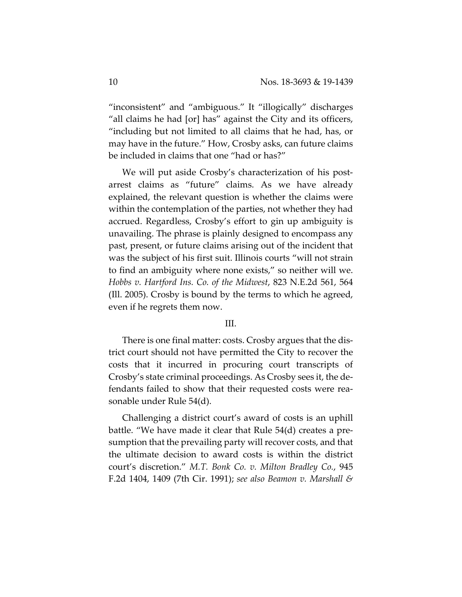"inconsistent" and "ambiguous." It "illogically" discharges "all claims he had [or] has" against the City and its officers, "including but not limited to all claims that he had, has, or may have in the future." How, Crosby asks, can future claims be included in claims that one "had or has?"

We will put aside Crosby's characterization of his postarrest claims as "future" claims. As we have already explained, the relevant question is whether the claims were within the contemplation of the parties, not whether they had accrued. Regardless, Crosby's effort to gin up ambiguity is unavailing. The phrase is plainly designed to encompass any past, present, or future claims arising out of the incident that was the subject of his first suit. Illinois courts "will not strain to find an ambiguity where none exists," so neither will we. *Hobbs v. Hartford Ins. Co. of the Midwest*, 823 N.E.2d 561, 564 (Ill. 2005). Crosby is bound by the terms to which he agreed, even if he regrets them now.

## III.

There is one final matter: costs. Crosby argues that the district court should not have permitted the City to recover the costs that it incurred in procuring court transcripts of Crosby's state criminal proceedings. As Crosby sees it, the defendants failed to show that their requested costs were reasonable under Rule 54(d).

Challenging a district court's award of costs is an uphill battle. "We have made it clear that Rule 54(d) creates a presumption that the prevailing party will recover costs, and that the ultimate decision to award costs is within the district court's discretion." *M.T. Bonk Co. v. Milton Bradley Co.*, 945 F.2d 1404, 1409 (7th Cir. 1991); *see also Beamon v. Marshall &*